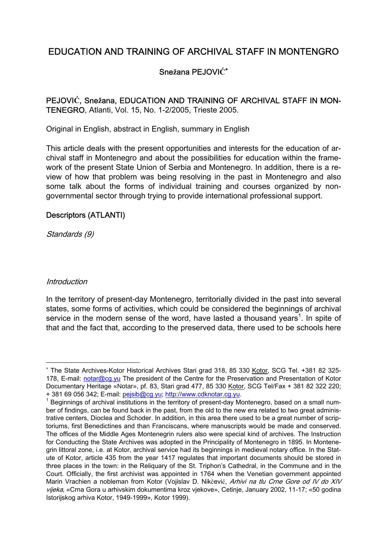# EDUCATION AND TRAINING OF ARCHIVAL STAFF IN MONTENGRO

## Sne**ž**ana PEJOVI**Ć**<sup>∗</sup>

PEJOVI**Ć**, Sne**ž**ana, EDUCATION AND TRAINING OF ARCHIVAL STAFF IN MON-TENEGRO, Atlanti, Vol. 15, No. 1-2/2005, Trieste 2005.

Original in English, abstract in English, summary in English

This article deals with the present opportunities and interests for the education of archival staff in Montenegro and about the possibilities for education within the framework of the present State Union of Serbia and Montenegro. In addition, there is a review of how that problem was being resolving in the past in Montenegro and also some talk about the forms of individual training and courses organized by nongovernmental sector through trying to provide international professional support.

#### Descriptors (ATLANTI)

Standards (9)

#### **Introduction**

 $\overline{a}$ 

In the territory of present-day Montenegro, territorially divided in the past into several states, some forms of activities, which could be considered the beginnings of archival service in the modern sense of the word, have lasted a thousand years<sup>1</sup>. In spite of that and the fact that, according to the preserved data, there used to be schools here

<sup>∗</sup> The State Archives-Kotor Historical Archives Stari grad 318, 85 330 Kotor, SCG Tel. +381 82 325- 178, E-mail: notar@cg.yu The president of the Centre for the Preservation and Presentation of Kotor Documentary Heritage «Notar», pf. 83, Stari grad 477, 85 330 Kotor, SCG Tel/Fax + 381 82 322 220; + 381 69 056 342; E-mail: pejsib@cg.yu; http://www.cdknotar.cg.yu. 1

 $1$  Beginnings of archival institutions in the territory of present-day Montenegro, based on a small number of findings, can be found back in the past, from the old to the new era related to two great administrative centers, Dioclea and Schoder. In addition, in this area there used to be a great number of scriptoriums, first Benedictines and than Franciscans, where manuscripts would be made and conserved. The offices of the Middle Ages Montenegrin rulers also were special kind of archives. The Instruction for Conducting the State Archives was adopted in the Principality of Montenegro in 1895. In Montenegrin littoral zone, i.e. at Kotor, archival service had its beginnings in medieval notary office. In the Statute of Kotor, article 435 from the year 1417 regulates that important documents should be stored in three places in the town: in the Reliquary of the St. Triphon's Cathedral, in the Commune and in the Court. Officially, the first archivist was appointed in 1764 when the Venetian government appointed Marin Vrachien a nobleman from Kotor (Vojislav D. Nikčević, Arhivi na tlu Crne Gore od IV do XIV vijeka, «Crna Gora u arhivskim dokumentima kroz vjekove», Cetinje, January 2002, 11-17; «50 godina Istorijskog arhiva Kotor, 1949-1999», Kotor 1999).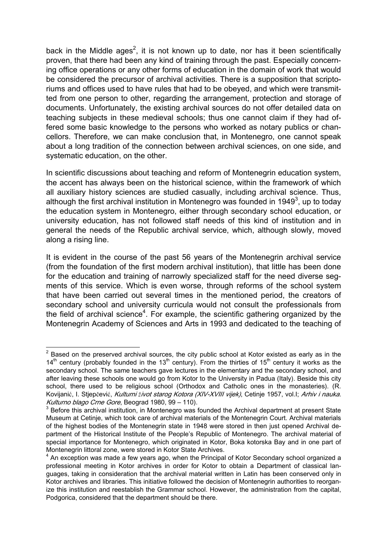back in the Middle ages<sup>2</sup>, it is not known up to date, nor has it been scientifically proven, that there had been any kind of training through the past. Especially concerning office operations or any other forms of education in the domain of work that would be considered the precursor of archival activities. There is a supposition that scriptoriums and offices used to have rules that had to be obeyed, and which were transmitted from one person to other, regarding the arrangement, protection and storage of documents. Unfortunately, the existing archival sources do not offer detailed data on teaching subjects in these medieval schools; thus one cannot claim if they had offered some basic knowledge to the persons who worked as notary publics or chancellors. Therefore, we can make conclusion that, in Montenegro, one cannot speak about a long tradition of the connection between archival sciences, on one side, and systematic education, on the other.

In scientific discussions about teaching and reform of Montenegrin education system, the accent has always been on the historical science, within the framework of which all auxiliary history sciences are studied casually, including archival science. Thus, although the first archival institution in Montenegro was founded in 1949<sup>3</sup>, up to today the education system in Montenegro, either through secondary school education, or university education, has not followed staff needs of this kind of institution and in general the needs of the Republic archival service, which, although slowly, moved along a rising line.

It is evident in the course of the past 56 years of the Montenegrin archival service (from the foundation of the first modern archival institution), that little has been done for the education and training of narrowly specialized staff for the need diverse segments of this service. Which is even worse, through reforms of the school system that have been carried out several times in the mentioned period, the creators of secondary school and university curricula would not consult the professionals from the field of archival science<sup>4</sup>. For example, the scientific gathering organized by the Montenegrin Academy of Sciences and Arts in 1993 and dedicated to the teaching of

<sup>————————————————————&</sup>lt;br><sup>2</sup> Based on the preserved archival sources, the city public school at Kotor existed as early as in the  $14<sup>th</sup>$  century (probably founded in the 13<sup>th</sup> century). From the thirties of 15<sup>th</sup> century it works as the secondary school. The same teachers gave lectures in the elementary and the secondary school, and after leaving these schools one would go from Kotor to the University in Padua (Italy). Beside this city school, there used to be religious school (Orthodox and Catholic ones in the monasteries). (R. Kovijanić, I. Stjepčević, Kulturni *ž*ivot starog Kotora (XIV-XVIII vijek), Cetinje 1957, vol.I; Arhiv i nauka. Kulturno blago Crne Gore, Beograd 1980, 99 – 110).

 $3$  Before this archival institution, in Montenegro was founded the Archival department at present State Museum at Cetinje, which took care of archival materials of the Montenegrin Court. Archival materials of the highest bodies of the Montenegrin state in 1948 were stored in then just opened Archival department of the Historical Institute of the People's Republic of Montenegro. The archival material of special importance for Montenegro, which originated in Kotor, Boka kotorska Bay and in one part of Montenegrin littoral zone, were stored in Kotor State Archives.

<sup>&</sup>lt;sup>4</sup> An exception was made a few years ago, when the Principal of Kotor Secondary school organized a professional meeting in Kotor archives in order for Kotor to obtain a Department of classical languages, taking in consideration that the archival material written in Latin has been conserved only in Kotor archives and libraries. This initiative followed the decision of Montenegrin authorities to reorganize this institution and reestablish the Grammar school. However, the administration from the capital, Podgorica, considered that the department should be there.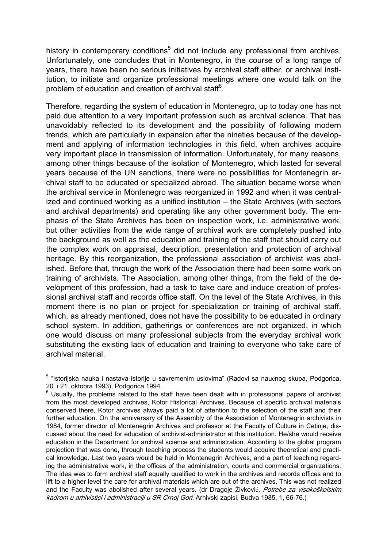history in contemporary conditions<sup>5</sup> did not include any professional from archives. Unfortunately, one concludes that in Montenegro, in the course of a long range of years, there have been no serious initiatives by archival staff either, or archival institution, to initiate and organize professional meetings where one would talk on the problem of education and creation of archival staff<sup>6</sup>.

Therefore, regarding the system of education in Montenegro, up to today one has not paid due attention to a very important profession such as archival science. That has unavoidably reflected to its development and the possibility of following modern trends, which are particularly in expansion after the nineties because of the development and applying of information technologies in this field, when archives acquire very important place in transmission of information. Unfortunately, for many reasons, among other things because of the isolation of Montenegro, which lasted for several years because of the UN sanctions, there were no possibilities for Montenegrin archival staff to be educated or specialized abroad. The situation became worse when the archival service in Montenegro was reorganized in 1992 and when it was centralized and continued working as a unified institution – the State Archives (with sectors and archival departments) and operating like any other government body. The emphasis of the State Archives has been on inspection work, i.e. administrative work, but other activities from the wide range of archival work are completely pushed into the background as well as the education and training of the staff that should carry out the complex work on appraisal, description, presentation and protection of archival heritage. By this reorganization, the professional association of archivist was abolished. Before that, through the work of the Association there had been some work on training of archivists. The Association, among other things, from the field of the development of this profession, had a task to take care and induce creation of professional archival staff and records office staff. On the level of the State Archives, in this moment there is no plan or project for specialization or training of archival staff, which, as already mentioned, does not have the possibility to be educated in ordinary school system. In addition, gatherings or conferences are not organized, in which one would discuss on many professional subjects from the everyday archival work substituting the existing lack of education and training to everyone who take care of archival material.

<sup>&</sup>lt;sup>5</sup> "Istorijska nauka i nastava istorije u savremenim uslovima" (Radovi sa naučnog skupa, Podgorica, 20. i 21. oktobra 1993), Podgorica 1994.

 $6$  Usually, the problems related to the staff have been dealt with in professional papers of archivist from the most developed archives, Kotor Historical Archives. Because of specific archival materials conserved there, Kotor archives always paid a lot of attention to the selection of the staff and their further education. On the anniversary of the Assembly of the Association of Montenegrin archivists in 1984, former director of Montenegrin Archives and professor at the Faculty of Culture in Cetinje, discussed about the need for education of archivist-administrator at this institution. He/she would receive education in the Department for archival science and administration. According to the global program projection that was done, through teaching process the students would acquire theoretical and practical knowledge. Last two years would be held in Montenegrin Archives, and a part of teaching regarding the administrative work, in the offices of the administration, courts and commercial organizations. The idea was to form archival staff equally qualified to work in the archives and records offices and to lift to a higher level the care for archival materials which are out of the archives. This was not realized and the Faculty was abolished after several years. (dr Dragoje Živković, Potrebe za visokoškolskim kadrom u arhivistici i administraciji u SR Crnoj Gori, Arhivski zapisi, Budva 1985, 1, 66-76.)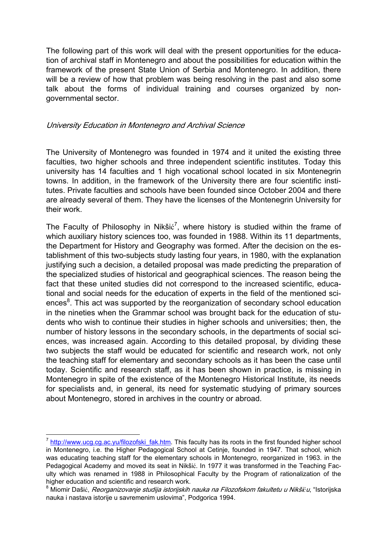The following part of this work will deal with the present opportunities for the education of archival staff in Montenegro and about the possibilities for education within the framework of the present State Union of Serbia and Montenegro. In addition, there will be a review of how that problem was being resolving in the past and also some talk about the forms of individual training and courses organized by nongovernmental sector.

#### University Education in Montenegro and Archival Science

The University of Montenegro was founded in 1974 and it united the existing three faculties, two higher schools and three independent scientific institutes. Today this university has 14 faculties and 1 high vocational school located in six Montenegrin towns. In addition, in the framework of the University there are four scientific institutes. Private faculties and schools have been founded since October 2004 and there are already several of them. They have the licenses of the Montenegrin University for their work.

The Faculty of Philosophy in Nikšić<sup>7</sup>, where history is studied within the frame of which auxiliary history sciences too, was founded in 1988. Within its 11 departments, the Department for History and Geography was formed. After the decision on the establishment of this two-subjects study lasting four years, in 1980, with the explanation justifying such a decision, a detailed proposal was made predicting the preparation of the specialized studies of historical and geographical sciences. The reason being the fact that these united studies did not correspond to the increased scientific, educational and social needs for the education of experts in the field of the mentioned sciences<sup>8</sup>. This act was supported by the reorganization of secondary school education in the nineties when the Grammar school was brought back for the education of students who wish to continue their studies in higher schools and universities; then, the number of history lessons in the secondary schools, in the departments of social sciences, was increased again. According to this detailed proposal, by dividing these two subjects the staff would be educated for scientific and research work, not only the teaching staff for elementary and secondary schools as it has been the case until today. Scientific and research staff, as it has been shown in practice, is missing in Montenegro in spite of the existence of the Montenegro Historical Institute, its needs for specialists and, in general, its need for systematic studying of primary sources about Montenegro, stored in archives in the country or abroad.

 $^7$  http://www.ucg.cg.ac.yu/filozofski\_fak.htm. This faculty has its roots in the first founded higher school in Montenegro, i.e. the Higher Pedagogical School at Cetinje, founded in 1947. That school, which was educating teaching staff for the elementary schools in Montenegro, reorganized in 1963. in the Pedagogical Academy and moved its seat in Nikšić. In 1977 it was transformed in the Teaching Faculty which was renamed in 1988 in Philosophical Faculty by the Program of rationalization of the higher education and scientific and research work.

<sup>&</sup>lt;sup>8</sup> Miomir Dašić, *Reorganizovanje studija istorijskih nauka na Filozofskom fakultetu u Nikšiću*, "Istorijska nauka i nastava istorije u savremenim uslovima", Podgorica 1994.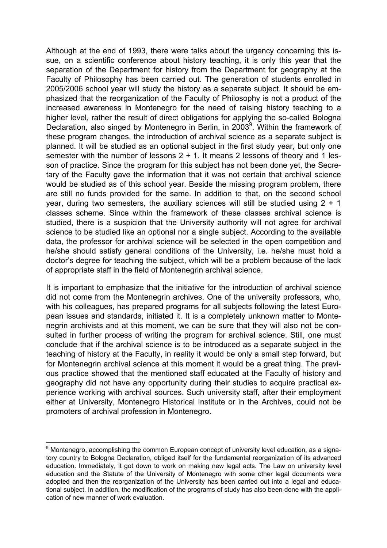Although at the end of 1993, there were talks about the urgency concerning this issue, on a scientific conference about history teaching, it is only this year that the separation of the Department for history from the Department for geography at the Faculty of Philosophy has been carried out. The generation of students enrolled in 2005/2006 school year will study the history as a separate subject. It should be emphasized that the reorganization of the Faculty of Philosophy is not a product of the increased awareness in Montenegro for the need of raising history teaching to a higher level, rather the result of direct obligations for applying the so-called Bologna Declaration, also singed by Montenegro in Berlin, in 2003<sup>9</sup>. Within the framework of these program changes, the introduction of archival science as a separate subject is planned. It will be studied as an optional subject in the first study year, but only one semester with the number of lessons  $2 + 1$ . It means 2 lessons of theory and 1 lesson of practice. Since the program for this subject has not been done yet, the Secretary of the Faculty gave the information that it was not certain that archival science would be studied as of this school year. Beside the missing program problem, there are still no funds provided for the same. In addition to that, on the second school year, during two semesters, the auxiliary sciences will still be studied using 2 + 1 classes scheme. Since within the framework of these classes archival science is studied, there is a suspicion that the University authority will not agree for archival science to be studied like an optional nor a single subject. According to the available data, the professor for archival science will be selected in the open competition and he/she should satisfy general conditions of the University, i.e. he/she must hold a doctor's degree for teaching the subject, which will be a problem because of the lack of appropriate staff in the field of Montenegrin archival science.

It is important to emphasize that the initiative for the introduction of archival science did not come from the Montenegrin archives. One of the university professors, who, with his colleagues, has prepared programs for all subjects following the latest European issues and standards, initiated it. It is a completely unknown matter to Montenegrin archivists and at this moment, we can be sure that they will also not be consulted in further process of writing the program for archival science. Still, one must conclude that if the archival science is to be introduced as a separate subject in the teaching of history at the Faculty, in reality it would be only a small step forward, but for Montenegrin archival science at this moment it would be a great thing. The previous practice showed that the mentioned staff educated at the Faculty of history and geography did not have any opportunity during their studies to acquire practical experience working with archival sources. Such university staff, after their employment either at University, Montenegro Historical Institute or in the Archives, could not be promoters of archival profession in Montenegro.

\_\_\_\_\_\_\_\_\_\_\_\_\_\_\_\_\_\_\_\_\_\_\_\_\_\_\_\_\_\_\_\_\_\_\_<br><sup>9</sup> Montenegro, accomplishing the common European concept of university level education, as a signatory country to Bologna Declaration, obliged itself for the fundamental reorganization of its advanced education. Immediately, it got down to work on making new legal acts. The Law on university level education and the Statute of the University of Montenegro with some other legal documents were adopted and then the reorganization of the University has been carried out into a legal and educational subject. In addition, the modification of the programs of study has also been done with the application of new manner of work evaluation.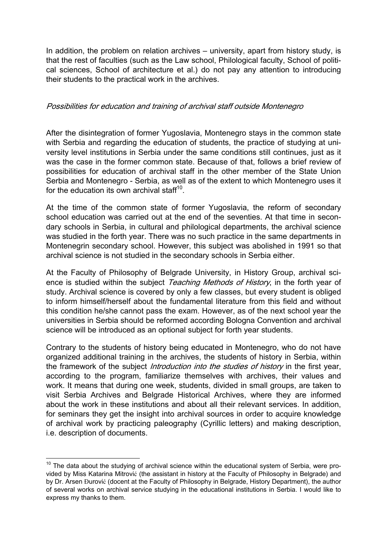In addition, the problem on relation archives – university, apart from history study, is that the rest of faculties (such as the Law school, Philological faculty, School of political sciences, School of architecture et al.) do not pay any attention to introducing their students to the practical work in the archives.

#### Possibilities for education and training of archival staff outside Montenegro

After the disintegration of former Yugoslavia, Montenegro stays in the common state with Serbia and regarding the education of students, the practice of studying at university level institutions in Serbia under the same conditions still continues, just as it was the case in the former common state. Because of that, follows a brief review of possibilities for education of archival staff in the other member of the State Union Serbia and Montenegro - Serbia, as well as of the extent to which Montenegro uses it for the education its own archival staff $10$ .

At the time of the common state of former Yugoslavia, the reform of secondary school education was carried out at the end of the seventies. At that time in secondary schools in Serbia, in cultural and philological departments, the archival science was studied in the forth year. There was no such practice in the same departments in Montenegrin secondary school. However, this subject was abolished in 1991 so that archival science is not studied in the secondary schools in Serbia either.

At the Faculty of Philosophy of Belgrade University, in History Group, archival science is studied within the subject Teaching Methods of History, in the forth year of study. Archival science is covered by only a few classes, but every student is obliged to inform himself/herself about the fundamental literature from this field and without this condition he/she cannot pass the exam. However, as of the next school year the universities in Serbia should be reformed according Bologna Convention and archival science will be introduced as an optional subject for forth year students.

Contrary to the students of history being educated in Montenegro, who do not have organized additional training in the archives, the students of history in Serbia, within the framework of the subject *Introduction into the studies of history* in the first year, according to the program, familiarize themselves with archives, their values and work. It means that during one week, students, divided in small groups, are taken to visit Serbia Archives and Belgrade Historical Archives, where they are informed about the work in these institutions and about all their relevant services. In addition, for seminars they get the insight into archival sources in order to acquire knowledge of archival work by practicing paleography (Cyrillic letters) and making description, i.e. description of documents.

 $10$  The data about the studying of archival science within the educational system of Serbia, were provided by Miss Katarina Mitrović (the assistant in history at the Faculty of Philosophy in Belgrade) and by Dr. Arsen Đurović (docent at the Faculty of Philosophy in Belgrade, History Department), the author of several works on archival service studying in the educational institutions in Serbia. I would like to express my thanks to them.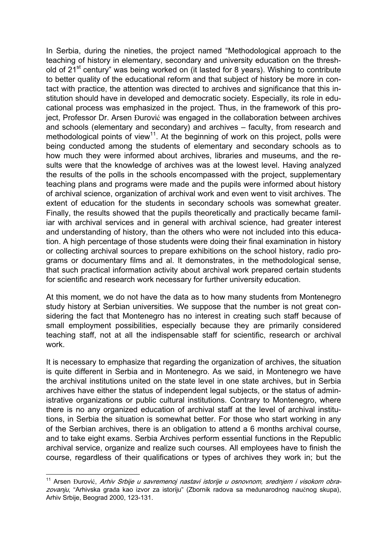In Serbia, during the nineties, the project named "Methodological approach to the teaching of history in elementary, secondary and university education on the threshold of 21<sup>st</sup> century" was being worked on (it lasted for 8 years). Wishing to contribute to better quality of the educational reform and that subject of history be more in contact with practice, the attention was directed to archives and significance that this institution should have in developed and democratic society. Especially, its role in educational process was emphasized in the project. Thus, in the framework of this project, Professor Dr. Arsen Đurović was engaged in the collaboration between archives and schools (elementary and secondary) and archives – faculty, from research and methodological points of view<sup>11</sup>. At the beginning of work on this project, polls were being conducted among the students of elementary and secondary schools as to how much they were informed about archives, libraries and museums, and the results were that the knowledge of archives was at the lowest level. Having analyzed the results of the polls in the schools encompassed with the project, supplementary teaching plans and programs were made and the pupils were informed about history of archival science, organization of archival work and even went to visit archives. The extent of education for the students in secondary schools was somewhat greater. Finally, the results showed that the pupils theoretically and practically became familiar with archival services and in general with archival science, had greater interest and understanding of history, than the others who were not included into this education. A high percentage of those students were doing their final examination in history or collecting archival sources to prepare exhibitions on the school history, radio programs or documentary films and al. It demonstrates, in the methodological sense, that such practical information activity about archival work prepared certain students for scientific and research work necessary for further university education.

At this moment, we do not have the data as to how many students from Montenegro study history at Serbian universities. We suppose that the number is not great considering the fact that Montenegro has no interest in creating such staff because of small employment possibilities, especially because they are primarily considered teaching staff, not at all the indispensable staff for scientific, research or archival work.

It is necessary to emphasize that regarding the organization of archives, the situation is quite different in Serbia and in Montenegro. As we said, in Montenegro we have the archival institutions united on the state level in one state archives, but in Serbia archives have either the status of independent legal subjects, or the status of administrative organizations or public cultural institutions. Contrary to Montenegro, where there is no any organized education of archival staff at the level of archival institutions, in Serbia the situation is somewhat better. For those who start working in any of the Serbian archives, there is an obligation to attend a 6 months archival course, and to take eight exams. Serbia Archives perform essential functions in the Republic archival service, organize and realize such courses. All employees have to finish the course, regardless of their qualifications or types of archives they work in; but the

 $\overline{a}$ <sup>11</sup> Arsen Đurović, Arhiv Srbije u savremenoj nastavi istorije u osnovnom, srednjem i visokom obrazovanju, "Arhivska građa kao izvor za istoriju" (Zbornik radova sa međunarodnog naučnog skupa), Arhiv Srbije, Beograd 2000, 123-131.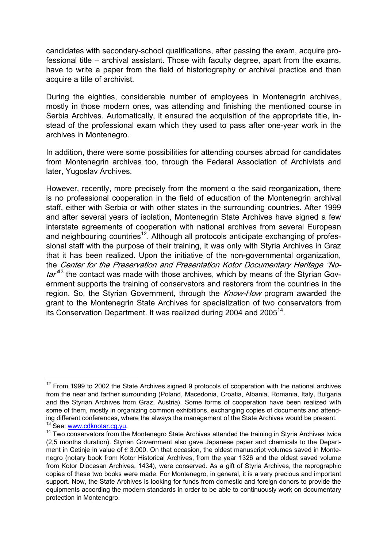candidates with secondary-school qualifications, after passing the exam, acquire professional title – archival assistant. Those with faculty degree, apart from the exams, have to write a paper from the field of historiography or archival practice and then acquire a title of archivist.

During the eighties, considerable number of employees in Montenegrin archives, mostly in those modern ones, was attending and finishing the mentioned course in Serbia Archives. Automatically, it ensured the acquisition of the appropriate title, instead of the professional exam which they used to pass after one-year work in the archives in Montenegro.

In addition, there were some possibilities for attending courses abroad for candidates from Montenegrin archives too, through the Federal Association of Archivists and later, Yugoslav Archives.

However, recently, more precisely from the moment o the said reorganization, there is no professional cooperation in the field of education of the Montenegrin archival staff, either with Serbia or with other states in the surrounding countries. After 1999 and after several years of isolation, Montenegrin State Archives have signed a few interstate agreements of cooperation with national archives from several European and neighbouring countries<sup>12</sup>. Although all protocols anticipate exchanging of professional staff with the purpose of their training, it was only with Styria Archives in Graz that it has been realized. Upon the initiative of the non-governmental organization, the Center for the Preservation and Presentation Kotor Documentary Heritage "No $tar^{43}$  the contact was made with those archives, which by means of the Styrian Government supports the training of conservators and restorers from the countries in the region. So, the Styrian Government, through the Know-How program awarded the grant to the Montenegrin State Archives for specialization of two conservators from its Conservation Department. It was realized during 2004 and 2005<sup>14</sup>.

 $\overline{a}$  $12$  From 1999 to 2002 the State Archives signed 9 protocols of cooperation with the national archives from the near and farther surrounding (Poland, Macedonia, Croatia, Albania, Romania, Italy, Bulgaria and the Styrian Archives from Graz, Austria). Some forms of cooperation have been realized with some of them, mostly in organizing common exhibitions, exchanging copies of documents and attending different conferences, where the always the management of the State Archives would be present.<br><sup>13</sup> See: www.cdknotar.cq.vu.

<sup>&</sup>lt;sup>14</sup> Two conservators from the Montenegro State Archives attended the training in Styria Archives twice (2,5 months duration). Styrian Government also gave Japanese paper and chemicals to the Department in Cetinje in value of  $\epsilon$  3.000. On that occasion, the oldest manuscript volumes saved in Montenegro (notary book from Kotor Historical Archives, from the year 1326 and the oldest saved volume from Kotor Diocesan Archives, 1434), were conserved. As a gift of Styria Archives, the reprographic copies of these two books were made. For Montenegro, in general, it is a very precious and important support. Now, the State Archives is looking for funds from domestic and foreign donors to provide the equipments according the modern standards in order to be able to continuously work on documentary protection in Montenegro.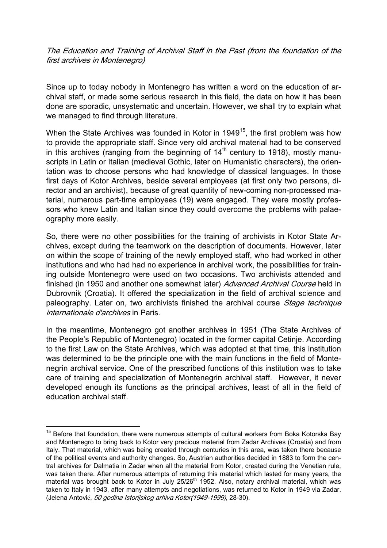The Education and Training of Archival Staff in the Past (from the foundation of the first archives in Montenegro)

Since up to today nobody in Montenegro has written a word on the education of archival staff, or made some serious research in this field, the data on how it has been done are sporadic, unsystematic and uncertain. However, we shall try to explain what we managed to find through literature.

When the State Archives was founded in Kotor in  $1949^{15}$ , the first problem was how to provide the appropriate staff. Since very old archival material had to be conserved in this archives (ranging from the beginning of  $14<sup>th</sup>$  century to 1918), mostly manuscripts in Latin or Italian (medieval Gothic, later on Humanistic characters), the orientation was to choose persons who had knowledge of classical languages. In those first days of Kotor Archives, beside several employees (at first only two persons, director and an archivist), because of great quantity of new-coming non-processed material, numerous part-time employees (19) were engaged. They were mostly professors who knew Latin and Italian since they could overcome the problems with palaeography more easily.

So, there were no other possibilities for the training of archivists in Kotor State Archives, except during the teamwork on the description of documents. However, later on within the scope of training of the newly employed staff, who had worked in other institutions and who had had no experience in archival work, the possibilities for training outside Montenegro were used on two occasions. Two archivists attended and finished (in 1950 and another one somewhat later) Advanced Archival Course held in Dubrovnik (Croatia). It offered the specialization in the field of archival science and paleography. Later on, two archivists finished the archival course *Stage technique* internationale d'archives in Paris.

In the meantime, Montenegro got another archives in 1951 (The State Archives of the People's Republic of Montenegro) located in the former capital Cetinje. According to the first Law on the State Archives, which was adopted at that time, this institution was determined to be the principle one with the main functions in the field of Montenegrin archival service. One of the prescribed functions of this institution was to take care of training and specialization of Montenegrin archival staff. However, it never developed enough its functions as the principal archives, least of all in the field of education archival staff.

<sup>&</sup>lt;sup>15</sup> Before that foundation, there were numerous attempts of cultural workers from Boka Kotorska Bay and Montenegro to bring back to Kotor very precious material from Zadar Archives (Croatia) and from Italy. That material, which was being created through centuries in this area, was taken there because of the political events and authority changes. So, Austrian authorities decided in 1883 to form the central archives for Dalmatia in Zadar when all the material from Kotor, created during the Venetian rule, was taken there. After numerous attempts of returning this material which lasted for many years, the material was brought back to Kotor in July 25/26<sup>th</sup> 1952. Also, notary archival material, which was taken to Italy in 1943, after many attempts and negotiations, was returned to Kotor in 1949 via Zadar. (Jelena Antović, 50 godina Istorijskog arhiva Kotor(1949-1999), 28-30).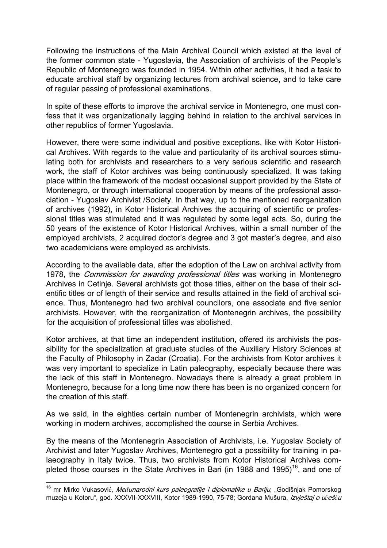Following the instructions of the Main Archival Council which existed at the level of the former common state - Yugoslavia, the Association of archivists of the People's Republic of Montenegro was founded in 1954. Within other activities, it had a task to educate archival staff by organizing lectures from archival science, and to take care of regular passing of professional examinations.

In spite of these efforts to improve the archival service in Montenegro, one must confess that it was organizationally lagging behind in relation to the archival services in other republics of former Yugoslavia.

However, there were some individual and positive exceptions, like with Kotor Historical Archives. With regards to the value and particularity of its archival sources stimulating both for archivists and researchers to a very serious scientific and research work, the staff of Kotor archives was being continuously specialized. It was taking place within the framework of the modest occasional support provided by the State of Montenegro, or through international cooperation by means of the professional association - Yugoslav Archivist /Society. In that way, up to the mentioned reorganization of archives (1992), in Kotor Historical Archives the acquiring of scientific or professional titles was stimulated and it was regulated by some legal acts. So, during the 50 years of the existence of Kotor Historical Archives, within a small number of the employed archivists, 2 acquired doctor's degree and 3 got master's degree, and also two academicians were employed as archivists.

According to the available data, after the adoption of the Law on archival activity from 1978, the *Commission for awarding professional titles* was working in Montenegro Archives in Cetinje. Several archivists got those titles, either on the base of their scientific titles or of length of their service and results attained in the field of archival science. Thus, Montenegro had two archival councilors, one associate and five senior archivists. However, with the reorganization of Montenegrin archives, the possibility for the acquisition of professional titles was abolished.

Kotor archives, at that time an independent institution, offered its archivists the possibility for the specialization at graduate studies of the Auxiliary History Sciences at the Faculty of Philosophy in Zadar (Croatia). For the archivists from Kotor archives it was very important to specialize in Latin paleography, especially because there was the lack of this staff in Montenegro. Nowadays there is already a great problem in Montenegro, because for a long time now there has been is no organized concern for the creation of this staff.

As we said, in the eighties certain number of Montenegrin archivists, which were working in modern archives, accomplished the course in Serbia Archives.

By the means of the Montenegrin Association of Archivists, i.e. Yugoslav Society of Archivist and later Yugoslav Archives, Montenegro got a possibility for training in palaeography in Italy twice. Thus, two archivists from Kotor Historical Archives completed those courses in the State Archives in Bari (in 1988 and 1995)<sup>16</sup>, and one of

 $\overline{a}$ <sup>16</sup> mr Mirko Vukasović, *Međunarodni kurs paleografije i diplomatike u Bariju*, "Godišniak Pomorskog muzeja u Kotoru", god. XXXVII-XXXVIII, Kotor 1989-1990, 75-78; Gordana Mušura, Izvještaj o u*č*eš*ć*u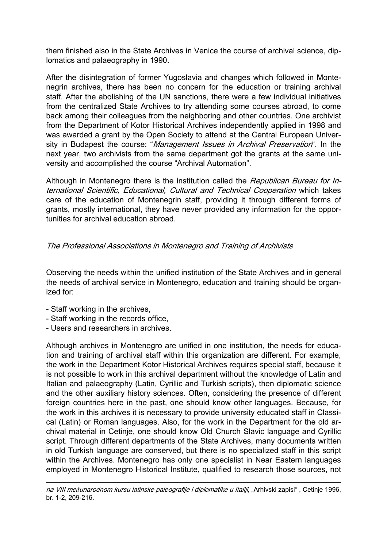them finished also in the State Archives in Venice the course of archival science, diplomatics and palaeography in 1990.

After the disintegration of former Yugoslavia and changes which followed in Montenegrin archives, there has been no concern for the education or training archival staff. After the abolishing of the UN sanctions, there were a few individual initiatives from the centralized State Archives to try attending some courses abroad, to come back among their colleagues from the neighboring and other countries. One archivist from the Department of Kotor Historical Archives independently applied in 1998 and was awarded a grant by the Open Society to attend at the Central European University in Budapest the course: "*Management Issues in Archival Preservation*". In the next year, two archivists from the same department got the grants at the same university and accomplished the course "Archival Automation".

Although in Montenegro there is the institution called the *Republican Bureau for In*ternational Scientific, Educational, Cultural and Technical Cooperation which takes care of the education of Montenegrin staff, providing it through different forms of grants, mostly international, they have never provided any information for the opportunities for archival education abroad.

### The Professional Associations in Montenegro and Training of Archivists

Observing the needs within the unified institution of the State Archives and in general the needs of archival service in Montenegro, education and training should be organized for:

- Staff working in the archives,

 $\overline{a}$ 

- Staff working in the records office,
- Users and researchers in archives.

Although archives in Montenegro are unified in one institution, the needs for education and training of archival staff within this organization are different. For example, the work in the Department Kotor Historical Archives requires special staff, because it is not possible to work in this archival department without the knowledge of Latin and Italian and palaeography (Latin, Cyrillic and Turkish scripts), then diplomatic science and the other auxiliary history sciences. Often, considering the presence of different foreign countries here in the past, one should know other languages. Because, for the work in this archives it is necessary to provide university educated staff in Classical (Latin) or Roman languages. Also, for the work in the Department for the old archival material in Cetinje, one should know Old Church Slavic language and Cyrillic script. Through different departments of the State Archives, many documents written in old Turkish language are conserved, but there is no specialized staff in this script within the Archives. Montenegro has only one specialist in Near Eastern languages employed in Montenegro Historical Institute, qualified to research those sources, not

na VIII me*đ*unarodnom kursu latinske paleografije i diplomatike u Italiji, "Arhivski zapisi" , Cetinje 1996, br. 1-2, 209-216.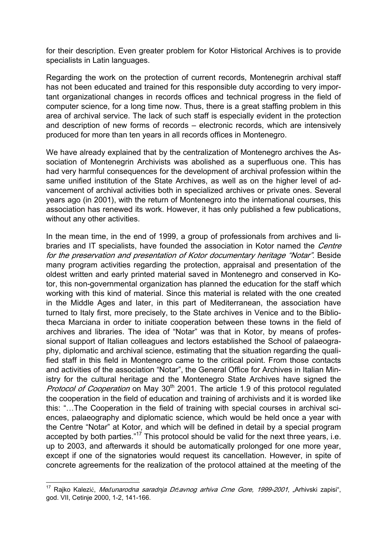for their description. Even greater problem for Kotor Historical Archives is to provide specialists in Latin languages.

Regarding the work on the protection of current records, Montenegrin archival staff has not been educated and trained for this responsible duty according to very important organizational changes in records offices and technical progress in the field of computer science, for a long time now. Thus, there is a great staffing problem in this area of archival service. The lack of such staff is especially evident in the protection and description of new forms of records – electronic records, which are intensively produced for more than ten years in all records offices in Montenegro.

We have already explained that by the centralization of Montenegro archives the Association of Montenegrin Archivists was abolished as a superfluous one. This has had very harmful consequences for the development of archival profession within the same unified institution of the State Archives, as well as on the higher level of advancement of archival activities both in specialized archives or private ones. Several years ago (in 2001), with the return of Montenegro into the international courses, this association has renewed its work. However, it has only published a few publications, without any other activities.

In the mean time, in the end of 1999, a group of professionals from archives and libraries and IT specialists, have founded the association in Kotor named the *Centre* for the preservation and presentation of Kotor documentary heritage "Notar". Beside many program activities regarding the protection, appraisal and presentation of the oldest written and early printed material saved in Montenegro and conserved in Kotor, this non-governmental organization has planned the education for the staff which working with this kind of material. Since this material is related with the one created in the Middle Ages and later, in this part of Mediterranean, the association have turned to Italy first, more precisely, to the State archives in Venice and to the Bibliotheca Marciana in order to initiate cooperation between these towns in the field of archives and libraries. The idea of "Notar" was that in Kotor, by means of professional support of Italian colleagues and lectors established the School of palaeography, diplomatic and archival science, estimating that the situation regarding the qualified staff in this field in Montenegro came to the critical point. From those contacts and activities of the association "Notar", the General Office for Archives in Italian Ministry for the cultural heritage and the Montenegro State Archives have signed the Protocol of Cooperation on May 30<sup>th</sup> 2001. The article 1.9 of this protocol regulated the cooperation in the field of education and training of archivists and it is worded like this: "…The Cooperation in the field of training with special courses in archival sciences, palaeography and diplomatic science, which would be held once a year with the Centre "Notar" at Kotor, and which will be defined in detail by a special program accepted by both parties."<sup>17</sup> This protocol should be valid for the next three years, i.e. up to 2003, and afterwards it should be automatically prolonged for one more year, except if one of the signatories would request its cancellation. However, in spite of concrete agreements for the realization of the protocol attained at the meeting of the

<sup>&</sup>lt;sup>17</sup> Rajko Kalezić, *Međunarodna saradnja Državnog arhiva Crne Gore, 1999-2001*, "Arhivski zapisi", god. VII, Cetinje 2000, 1-2, 141-166.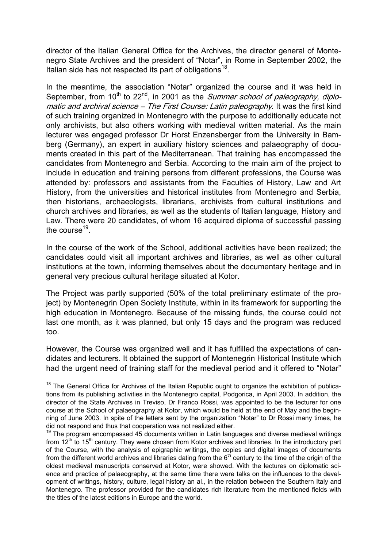director of the Italian General Office for the Archives, the director general of Montenegro State Archives and the president of "Notar", in Rome in September 2002, the Italian side has not respected its part of obligations $^{18}$ .

In the meantime, the association "Notar" organized the course and it was held in September, from  $10^{th}$  to  $22^{nd}$ , in 2001 as the *Summer school of paleography, diplo*matic and archival science – The First Course: Latin paleography. It was the first kind of such training organized in Montenegro with the purpose to additionally educate not only archivists, but also others working with medieval written material. As the main lecturer was engaged professor Dr Horst Enzensberger from the University in Bamberg (Germany), an expert in auxiliary history sciences and palaeography of documents created in this part of the Mediterranean. That training has encompassed the candidates from Montenegro and Serbia. According to the main aim of the project to include in education and training persons from different professions, the Course was attended by: professors and assistants from the Faculties of History, Law and Art History, from the universities and historical institutes from Montenegro and Serbia, then historians, archaeologists, librarians, archivists from cultural institutions and church archives and libraries, as well as the students of Italian language, History and Law. There were 20 candidates, of whom 16 acquired diploma of successful passing the course $19$ .

In the course of the work of the School, additional activities have been realized; the candidates could visit all important archives and libraries, as well as other cultural institutions at the town, informing themselves about the documentary heritage and in general very precious cultural heritage situated at Kotor.

The Project was partly supported (50% of the total preliminary estimate of the project) by Montenegrin Open Society Institute, within in its framework for supporting the high education in Montenegro. Because of the missing funds, the course could not last one month, as it was planned, but only 15 days and the program was reduced too.

However, the Course was organized well and it has fulfilled the expectations of candidates and lecturers. It obtained the support of Montenegrin Historical Institute which had the urgent need of training staff for the medieval period and it offered to "Notar"

 $18$  The General Office for Archives of the Italian Republic ought to organize the exhibition of publications from its publishing activities in the Montenegro capital, Podgorica, in April 2003. In addition, the director of the State Archives in Treviso, Dr Franco Rossi, was appointed to be the lecturer for one course at the School of palaeography at Kotor, which would be held at the end of May and the beginning of June 2003. In spite of the letters sent by the organization "Notar" to Dr Rossi many times, he did not respond and thus that cooperation was not realized either.

 $19$  The program encompassed 45 documents written in Latin languages and diverse medieval writings from  $12<sup>th</sup>$  to  $15<sup>th</sup>$  century. They were chosen from Kotor archives and libraries. In the introductory part of the Course, with the analysis of epigraphic writings, the copies and digital images of documents from the different world archives and libraries dating from the  $6<sup>th</sup>$  century to the time of the origin of the oldest medieval manuscripts conserved at Kotor, were showed. With the lectures on diplomatic science and practice of palaeography, at the same time there were talks on the influences to the development of writings, history, culture, legal history an al., in the relation between the Southern Italy and Montenegro. The professor provided for the candidates rich literature from the mentioned fields with the titles of the latest editions in Europe and the world.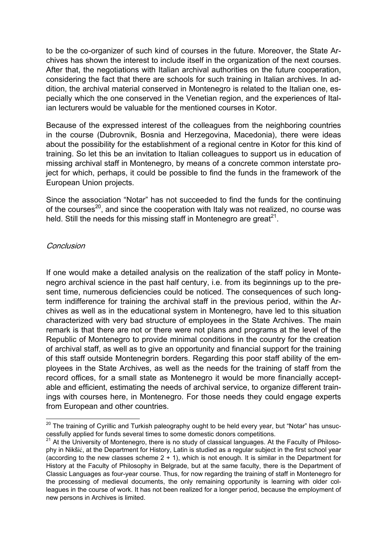to be the co-organizer of such kind of courses in the future. Moreover, the State Archives has shown the interest to include itself in the organization of the next courses. After that, the negotiations with Italian archival authorities on the future cooperation, considering the fact that there are schools for such training in Italian archives. In addition, the archival material conserved in Montenegro is related to the Italian one, especially which the one conserved in the Venetian region, and the experiences of Italian lecturers would be valuable for the mentioned courses in Kotor.

Because of the expressed interest of the colleagues from the neighboring countries in the course (Dubrovnik, Bosnia and Herzegovina, Macedonia), there were ideas about the possibility for the establishment of a regional centre in Kotor for this kind of training. So let this be an invitation to Italian colleagues to support us in education of missing archival staff in Montenegro, by means of a concrete common interstate project for which, perhaps, it could be possible to find the funds in the framework of the European Union projects.

Since the association "Notar" has not succeeded to find the funds for the continuing of the courses<sup>20</sup>, and since the cooperation with Italy was not realized, no course was held. Still the needs for this missing staff in Montenegro are great<sup>21</sup>.

#### **Conclusion**

 $\overline{a}$ 

If one would make a detailed analysis on the realization of the staff policy in Montenegro archival science in the past half century, i.e. from its beginnings up to the present time, numerous deficiencies could be noticed. The consequences of such longterm indifference for training the archival staff in the previous period, within the Archives as well as in the educational system in Montenegro, have led to this situation characterized with very bad structure of employees in the State Archives. The main remark is that there are not or there were not plans and programs at the level of the Republic of Montenegro to provide minimal conditions in the country for the creation of archival staff, as well as to give an opportunity and financial support for the training of this staff outside Montenegrin borders. Regarding this poor staff ability of the employees in the State Archives, as well as the needs for the training of staff from the record offices, for a small state as Montenegro it would be more financially acceptable and efficient, estimating the needs of archival service, to organize different trainings with courses here, in Montenegro. For those needs they could engage experts from European and other countries.

 $^{20}$  The training of Cyrillic and Turkish paleography ought to be held every year, but "Notar" has unsuccessfully applied for funds several times to some domestic donors competitions.

<sup>&</sup>lt;sup>21</sup> At the University of Montenegro, there is no study of classical languages. At the Faculty of Philosophy in Nikšić, at the Department for History, Latin is studied as a regular subject in the first school year (according to the new classes scheme  $2 + 1$ ), which is not enough. It is similar in the Department for History at the Faculty of Philosophy in Belgrade, but at the same faculty, there is the Department of Classic Languages as four-year course. Thus, for now regarding the training of staff in Montenegro for the processing of medieval documents, the only remaining opportunity is learning with older colleagues in the course of work. It has not been realized for a longer period, because the employment of new persons in Archives is limited.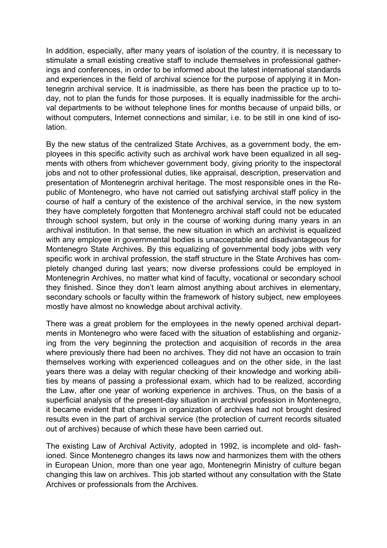In addition, especially, after many years of isolation of the country, it is necessary to stimulate a small existing creative staff to include themselves in professional gatherings and conferences, in order to be informed about the latest international standards and experiences in the field of archival science for the purpose of applying it in Montenegrin archival service. It is inadmissible, as there has been the practice up to today, not to plan the funds for those purposes. It is equally inadmissible for the archival departments to be without telephone lines for months because of unpaid bills, or without computers, Internet connections and similar, i.e. to be still in one kind of isolation.

By the new status of the centralized State Archives, as a government body, the employees in this specific activity such as archival work have been equalized in all segments with others from whichever government body, giving priority to the inspectoral jobs and not to other professional duties, like appraisal, description, preservation and presentation of Montenegrin archival heritage. The most responsible ones in the Republic of Montenegro, who have not carried out satisfying archival staff policy in the course of half a century of the existence of the archival service, in the new system they have completely forgotten that Montenegro archival staff could not be educated through school system, but only in the course of working during many years in an archival institution. In that sense, the new situation in which an archivist is equalized with any employee in governmental bodies is unacceptable and disadvantageous for Montenegro State Archives. By this equalizing of governmental body jobs with very specific work in archival profession, the staff structure in the State Archives has completely changed during last years; now diverse professions could be employed in Montenegrin Archives, no matter what kind of faculty, vocational or secondary school they finished. Since they don't learn almost anything about archives in elementary, secondary schools or faculty within the framework of history subject, new employees mostly have almost no knowledge about archival activity.

There was a great problem for the employees in the newly opened archival departments in Montenegro who were faced with the situation of establishing and organizing from the very beginning the protection and acquisition of records in the area where previously there had been no archives. They did not have an occasion to train themselves working with experienced colleagues and on the other side, in the last years there was a delay with regular checking of their knowledge and working abilities by means of passing a professional exam, which had to be realized, according the Law, after one year of working experience in archives. Thus, on the basis of a superficial analysis of the present-day situation in archival profession in Montenegro, it became evident that changes in organization of archives had not brought desired results even in the part of archival service (the protection of current records situated out of archives) because of which these have been carried out.

The existing Law of Archival Activity, adopted in 1992, is incomplete and old- fashioned. Since Montenegro changes its laws now and harmonizes them with the others in European Union, more than one year ago, Montenegrin Ministry of culture began changing this law on archives. This job started without any consultation with the State Archives or professionals from the Archives.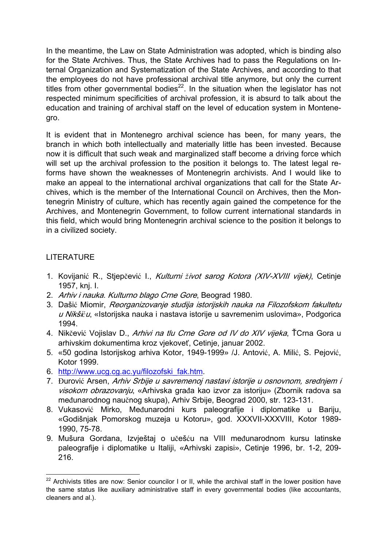In the meantime, the Law on State Administration was adopted, which is binding also for the State Archives. Thus, the State Archives had to pass the Regulations on Internal Organization and Systematization of the State Archives, and according to that the employees do not have professional archival title anymore, but only the current titles from other governmental bodies $^{22}$ . In the situation when the legislator has not respected minimum specificities of archival profession, it is absurd to talk about the education and training of archival staff on the level of education system in Montenegro.

It is evident that in Montenegro archival science has been, for many years, the branch in which both intellectually and materially little has been invested. Because now it is difficult that such weak and marginalized staff become a driving force which will set up the archival profession to the position it belongs to. The latest legal reforms have shown the weaknesses of Montenegrin archivists. And I would like to make an appeal to the international archival organizations that call for the State Archives, which is the member of the International Council on Archives, then the Montenegrin Ministry of culture, which has recently again gained the competence for the Archives, and Montenegrin Government, to follow current international standards in this field, which would bring Montenegrin archival science to the position it belongs to in a civilized society.

## LITERATURE

- 1. Kovijanić R., Stjepčević I., Kulturni *ž*ivot sarog Kotora (XIV-XVIII vijek), Cetinje 1957, knj. I.
- 2. Arhiv i nauka. Kulturno blago Crne Gore, Beograd 1980.
- 3. Dašić Miomir, Reorganizovanje studija istorijskih nauka na Filozofskom fakultetu u Nikši*ć*u, «Istorijska nauka i nastava istorije u savremenim uslovima», Podgorica 1994.
- 4. Nikčević Vojislav D., Arhivi na tlu Crne Gore od IV do XIV vijeka, ŤCrna Gora u arhivskim dokumentima kroz vjekoveť, Cetinje, januar 2002.
- 5. «50 godina Istorijskog arhiva Kotor, 1949-1999» /J. Antović, A. Milić, S. Pejović, Kotor 1999.
- 6. http://www.ucg.cg.ac.yu/filozofski\_fak.htm.
- 7. Đurović Arsen, Arhiv Srbije u savremenoj nastavi istorije u osnovnom, sredniem i visokom obrazovanju, «Arhivska građa kao izvor za istoriju» (Zbornik radova sa međunarodnog naučnog skupa), Arhiv Srbije, Beograd 2000, str. 123-131.
- 8. Vukasović Mirko, Međunarodni kurs paleografije i diplomatike u Bariju, «Godišnjak Pomorskog muzeja u Kotoru», god. XXXVII-XXXVIII, Kotor 1989- 1990, 75-78.
- 9. Mušura Gordana, Izvještaj o učešću na VIII međunarodnom kursu latinske paleografije i diplomatike u Italiji, «Arhivski zapisi», Cetinje 1996, br. 1-2, 209- 216.

 $\overline{a}$  $22$  Archivists titles are now: Senior councilor I or II, while the archival staff in the lower position have the same status like auxiliary administrative staff in every governmental bodies (like accountants, cleaners and al.).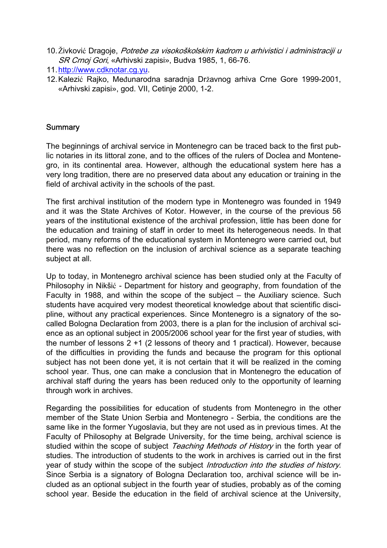- 10. Živković Dragoje, Potrebe za visokoškolskim kadrom u arhivistici i administraciji u SR Crnoj Gori, «Arhivski zapisi», Budva 1985, 1, 66-76.
- 11.http://www.cdknotar.cg.yu.
- 12.Kalezić Rajko, Međunarodna saradnja Državnog arhiva Crne Gore 1999-2001, «Arhivski zapisi», god. VII, Cetinje 2000, 1-2.

#### **Summary**

The beginnings of archival service in Montenegro can be traced back to the first public notaries in its littoral zone, and to the offices of the rulers of Doclea and Montenegro, in its continental area. However, although the educational system here has a very long tradition, there are no preserved data about any education or training in the field of archival activity in the schools of the past.

The first archival institution of the modern type in Montenegro was founded in 1949 and it was the State Archives of Kotor. However, in the course of the previous 56 years of the institutional existence of the archival profession, little has been done for the education and training of staff in order to meet its heterogeneous needs. In that period, many reforms of the educational system in Montenegro were carried out, but there was no reflection on the inclusion of archival science as a separate teaching subject at all.

Up to today, in Montenegro archival science has been studied only at the Faculty of Philosophy in Nikšić - Department for history and geography, from foundation of the Faculty in 1988, and within the scope of the subject – the Auxiliary science. Such students have acquired very modest theoretical knowledge about that scientific discipline, without any practical experiences. Since Montenegro is a signatory of the socalled Bologna Declaration from 2003, there is a plan for the inclusion of archival science as an optional subject in 2005/2006 school year for the first year of studies, with the number of lessons 2 +1 (2 lessons of theory and 1 practical). However, because of the difficulties in providing the funds and because the program for this optional subject has not been done yet, it is not certain that it will be realized in the coming school year. Thus, one can make a conclusion that in Montenegro the education of archival staff during the years has been reduced only to the opportunity of learning through work in archives.

Regarding the possibilities for education of students from Montenegro in the other member of the State Union Serbia and Montenegro - Serbia, the conditions are the same like in the former Yugoslavia, but they are not used as in previous times. At the Faculty of Philosophy at Belgrade University, for the time being, archival science is studied within the scope of subject Teaching Methods of History in the forth year of studies. The introduction of students to the work in archives is carried out in the first year of study within the scope of the subject *Introduction into the studies of history*. Since Serbia is a signatory of Bologna Declaration too, archival science will be included as an optional subject in the fourth year of studies, probably as of the coming school year. Beside the education in the field of archival science at the University,